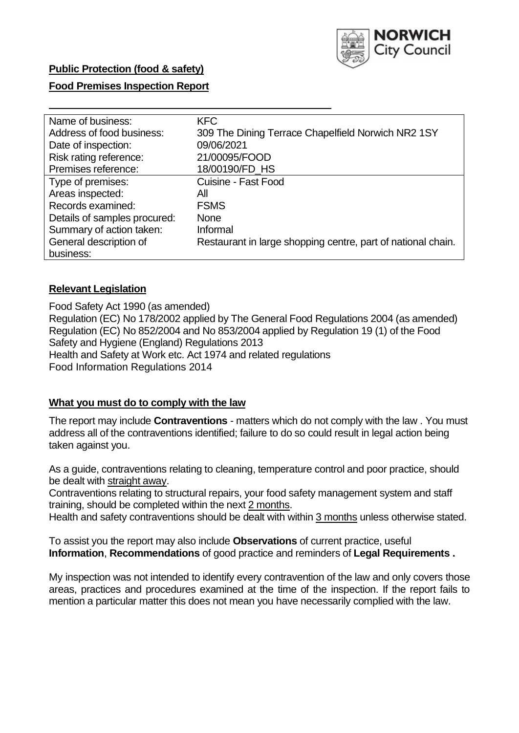

## **Food Premises Inspection Report**

| Name of business:            | <b>KFC</b>                                                   |
|------------------------------|--------------------------------------------------------------|
| Address of food business:    | 309 The Dining Terrace Chapelfield Norwich NR2 1SY           |
| Date of inspection:          | 09/06/2021                                                   |
| Risk rating reference:       | 21/00095/FOOD                                                |
| Premises reference:          | 18/00190/FD HS                                               |
| Type of premises:            | Cuisine - Fast Food                                          |
| Areas inspected:             | All                                                          |
| Records examined:            | <b>FSMS</b>                                                  |
| Details of samples procured: | <b>None</b>                                                  |
| Summary of action taken:     | Informal                                                     |
| General description of       | Restaurant in large shopping centre, part of national chain. |
| business:                    |                                                              |

#### **Relevant Legislation**

 Food Safety Act 1990 (as amended) Regulation (EC) No 178/2002 applied by The General Food Regulations 2004 (as amended) Regulation (EC) No 852/2004 and No 853/2004 applied by Regulation 19 (1) of the Food Safety and Hygiene (England) Regulations 2013 Health and Safety at Work etc. Act 1974 and related regulations Food Information Regulations 2014

#### **What you must do to comply with the law**

 The report may include **Contraventions** - matters which do not comply with the law . You must address all of the contraventions identified; failure to do so could result in legal action being taken against you.

 As a guide, contraventions relating to cleaning, temperature control and poor practice, should be dealt with straight away.

 Contraventions relating to structural repairs, your food safety management system and staff training, should be completed within the next 2 months.

Health and safety contraventions should be dealt with within 3 months unless otherwise stated.

 To assist you the report may also include **Observations** of current practice, useful **Information**, **Recommendations** of good practice and reminders of **Legal Requirements .** 

 My inspection was not intended to identify every contravention of the law and only covers those areas, practices and procedures examined at the time of the inspection. If the report fails to mention a particular matter this does not mean you have necessarily complied with the law.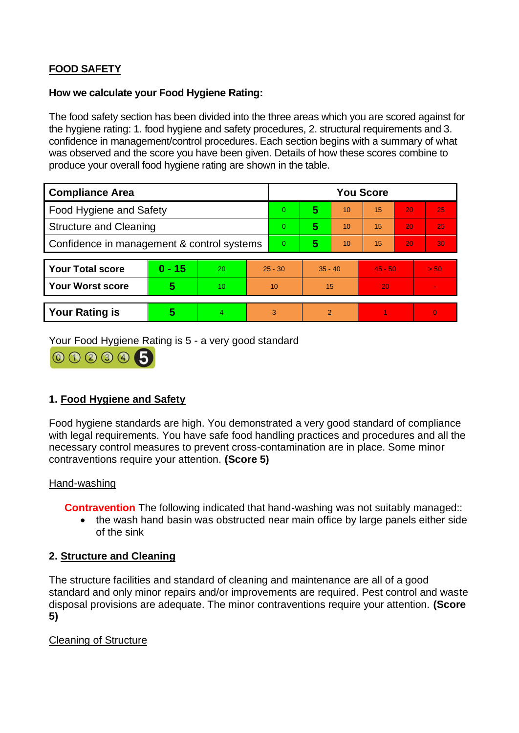# **FOOD SAFETY**

### **How we calculate your Food Hygiene Rating:**

 The food safety section has been divided into the three areas which you are scored against for the hygiene rating: 1. food hygiene and safety procedures, 2. structural requirements and 3. confidence in management/control procedures. Each section begins with a summary of what was observed and the score you have been given. Details of how these scores combine to produce your overall food hygiene rating are shown in the table.

| <b>Compliance Area</b>                     |          |                |                | <b>You Score</b> |                |    |           |    |                |  |  |
|--------------------------------------------|----------|----------------|----------------|------------------|----------------|----|-----------|----|----------------|--|--|
| <b>Food Hygiene and Safety</b>             |          |                |                | $\Omega$         | 5              | 10 | 15        | 20 | 25             |  |  |
| <b>Structure and Cleaning</b>              |          |                | $\overline{0}$ | 5                | 10             | 15 | 20        | 25 |                |  |  |
| Confidence in management & control systems |          |                | $\overline{0}$ | 5                | 10             | 15 | 20        | 30 |                |  |  |
|                                            |          |                |                |                  |                |    |           |    |                |  |  |
| <b>Your Total score</b>                    | $0 - 15$ | 20             | $25 - 30$      |                  | $35 - 40$      |    | $45 - 50$ |    | > 50           |  |  |
| <b>Your Worst score</b>                    | 5        | 10             | 10             |                  | 15             |    | 20        |    |                |  |  |
|                                            |          |                |                |                  |                |    |           |    |                |  |  |
| <b>Your Rating is</b>                      | 5        | $\overline{4}$ | 3              |                  | $\overline{2}$ |    |           |    | $\overline{0}$ |  |  |

Your Food Hygiene Rating is 5 - a very good standard



# **1. Food Hygiene and Safety**

 with legal requirements. You have safe food handling practices and procedures and all the Food hygiene standards are high. You demonstrated a very good standard of compliance necessary control measures to prevent cross-contamination are in place. Some minor contraventions require your attention. **(Score 5)** 

# Hand-washing

**Contravention** The following indicated that hand-washing was not suitably managed::

• the wash hand basin was obstructed near main office by large panels either side of the sink

# **2. Structure and Cleaning**

The structure facilities and standard of cleaning and maintenance are all of a good standard and only minor repairs and/or improvements are required. Pest control and waste disposal provisions are adequate. The minor contraventions require your attention. **(Score 5)** 

Cleaning of Structure